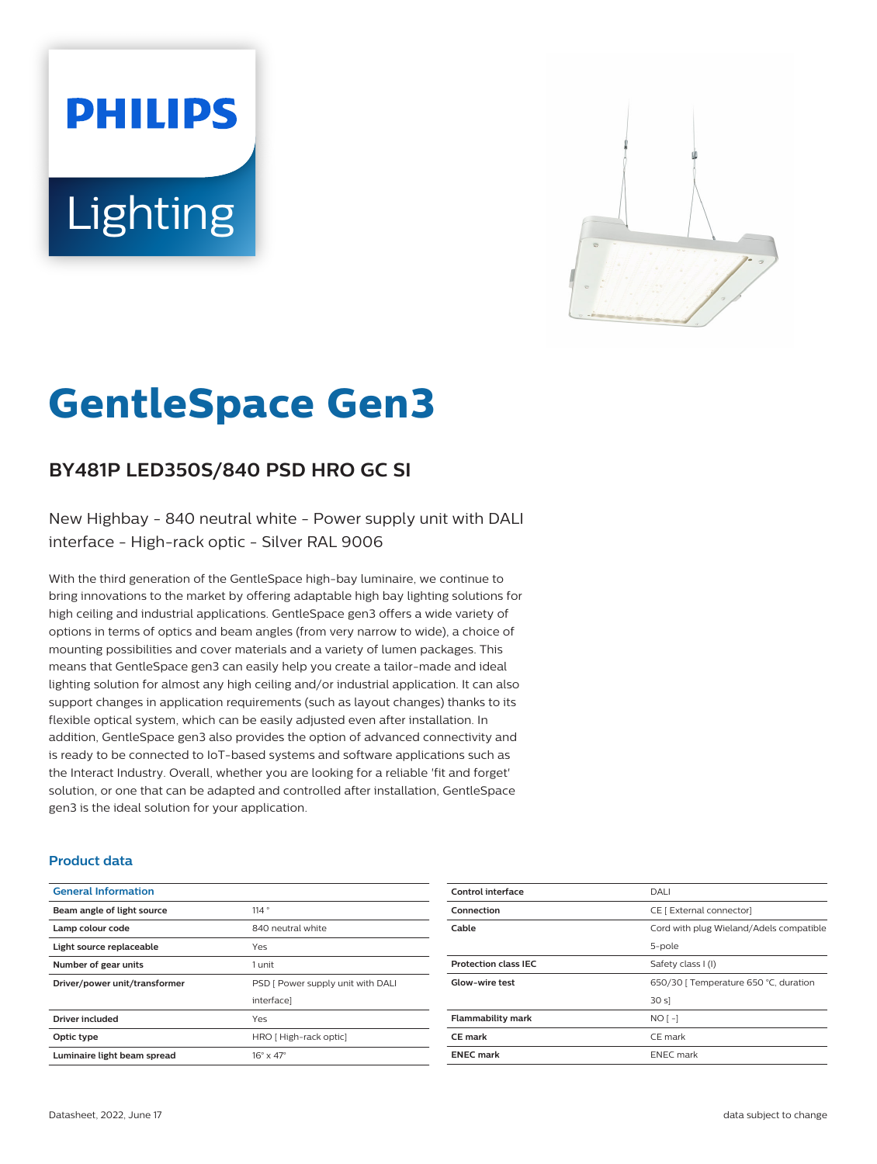# **PHILIPS Lighting**



# **GentleSpace Gen3**

# **BY481P LED350S/840 PSD HRO GC SI**

New Highbay - 840 neutral white - Power supply unit with DALI interface - High-rack optic - Silver RAL 9006

With the third generation of the GentleSpace high-bay luminaire, we continue to bring innovations to the market by offering adaptable high bay lighting solutions for high ceiling and industrial applications. GentleSpace gen3 offers a wide variety of options in terms of optics and beam angles (from very narrow to wide), a choice of mounting possibilities and cover materials and a variety of lumen packages. This means that GentleSpace gen3 can easily help you create a tailor-made and ideal lighting solution for almost any high ceiling and/or industrial application. It can also support changes in application requirements (such as layout changes) thanks to its flexible optical system, which can be easily adjusted even after installation. In addition, GentleSpace gen3 also provides the option of advanced connectivity and is ready to be connected to IoT-based systems and software applications such as the Interact Industry. Overall, whether you are looking for a reliable 'fit and forget' solution, or one that can be adapted and controlled after installation, GentleSpace gen3 is the ideal solution for your application.

#### **Product data**

| <b>General Information</b>    |                                   |
|-------------------------------|-----------------------------------|
| Beam angle of light source    | 114°                              |
| Lamp colour code              | 840 neutral white                 |
| Light source replaceable      | Yes                               |
| Number of gear units          | 1 unit                            |
| Driver/power unit/transformer | PSD [ Power supply unit with DALI |
|                               | interface]                        |
| <b>Driver included</b>        | Yes                               |
| Optic type                    | HRO [High-rack optic]             |
| Luminaire light beam spread   | $16^\circ \times 47^\circ$        |

| DALI                                    |
|-----------------------------------------|
| CE [ External connector]                |
| Cord with plug Wieland/Adels compatible |
| 5-pole                                  |
| Safety class I (I)                      |
| 650/30   Temperature 650 °C, duration   |
| 30 s                                    |
| $NO$ [-1                                |
| CE mark                                 |
| <b>ENEC</b> mark                        |
|                                         |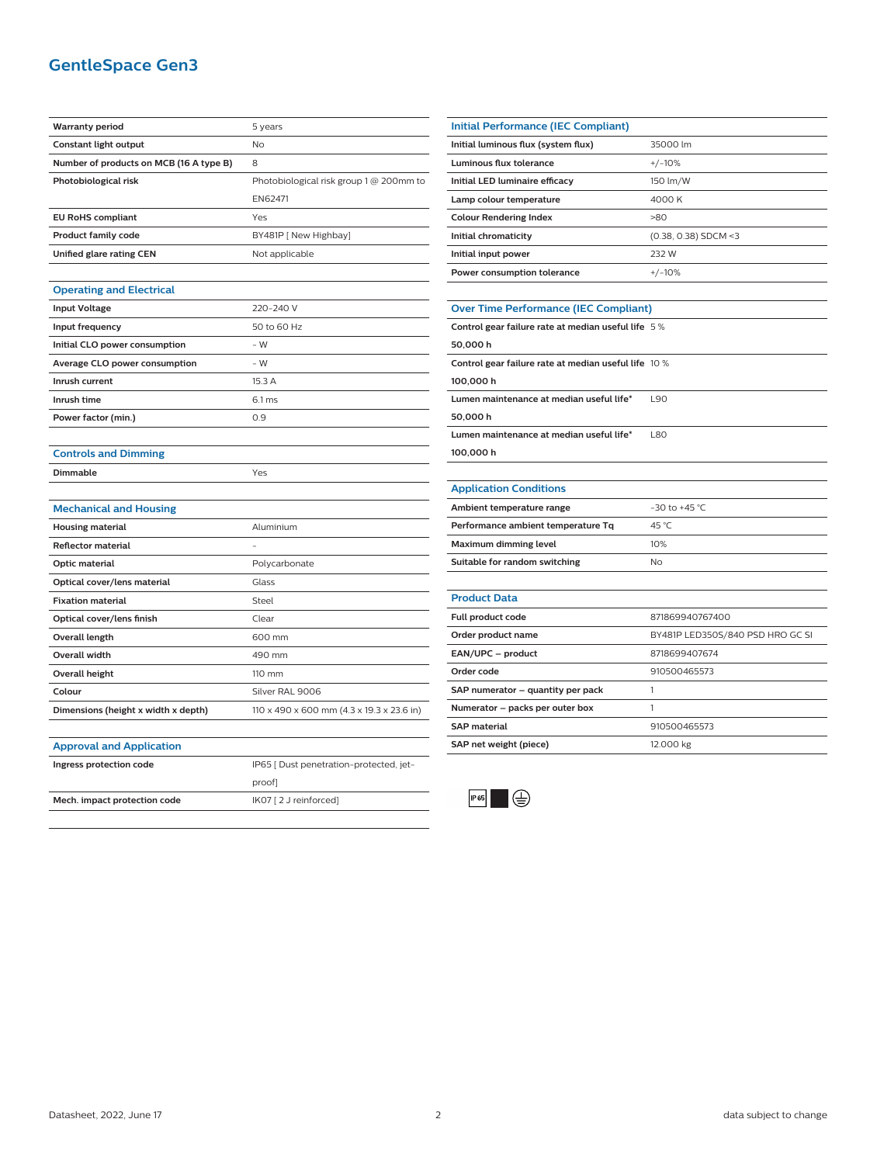## **GentleSpace Gen3**

| <b>Warranty period</b>                  | 5 years                                   |
|-----------------------------------------|-------------------------------------------|
| Constant light output                   | <b>No</b>                                 |
| Number of products on MCB (16 A type B) | 8                                         |
| Photobiological risk                    | Photobiological risk group 1 @ 200mm to   |
|                                         | EN62471                                   |
| <b>EU RoHS compliant</b>                | Yes                                       |
| <b>Product family code</b>              | BY481P [ New Highbay]                     |
| Unified glare rating CEN                | Not applicable                            |
|                                         |                                           |
| <b>Operating and Electrical</b>         |                                           |
| <b>Input Voltage</b>                    | 220-240 V                                 |
| Input frequency                         | 50 to 60 Hz                               |
| Initial CLO power consumption           | - W                                       |
| Average CLO power consumption           | $-W$                                      |
| Inrush current                          | 15.3 A                                    |
| Inrush time                             | 6.1 ms                                    |
| Power factor (min.)                     | 0.9                                       |
|                                         |                                           |
| <b>Controls and Dimming</b>             |                                           |
| Dimmable                                | Yes                                       |
|                                         |                                           |
| <b>Mechanical and Housing</b>           |                                           |
| <b>Housing material</b>                 | Aluminium                                 |
| <b>Reflector material</b>               |                                           |
| <b>Optic material</b>                   | Polycarbonate                             |
| Optical cover/lens material             | Glass                                     |
| <b>Fixation material</b>                | Steel                                     |
| Optical cover/lens finish               | Clear                                     |
| Overall length                          | 600 mm                                    |
| <b>Overall width</b>                    | 490 mm                                    |
| <b>Overall height</b>                   | 110 mm                                    |
| Colour                                  | Silver RAL 9006                           |
| Dimensions (height x width x depth)     | 110 x 490 x 600 mm (4.3 x 19.3 x 23.6 in) |
|                                         |                                           |
| <b>Approval and Application</b>         |                                           |
| Ingress protection code                 | IP65 [ Dust penetration-protected, jet-   |
|                                         | proof]                                    |
| Mech. impact protection code            | IK07 [2 J reinforced]                     |
|                                         |                                           |
|                                         |                                           |

| Initial Performance (IEC Compliant) |                        |
|-------------------------------------|------------------------|
| Initial luminous flux (system flux) | 35000 lm               |
| Luminous flux tolerance             | $+/-10%$               |
| Initial LED luminaire efficacy      | 150 lm/W               |
| Lamp colour temperature             | 4000 K                 |
| <b>Colour Rendering Index</b>       | >80                    |
| Initial chromaticity                | $(0.38, 0.38)$ SDCM <3 |
| Initial input power                 | 232 W                  |
| Power consumption tolerance         | $+/-10%$               |
|                                     |                        |

# **Over Time Performance (IEC Compliant)**

| Control gear failure rate at median useful life 5 %  |      |
|------------------------------------------------------|------|
| 50.000h                                              |      |
| Control gear failure rate at median useful life 10 % |      |
| 100.000h                                             |      |
| Lumen maintenance at median useful life*             | L90  |
| 50.000h                                              |      |
| Lumen maintenance at median useful life*             | 1.80 |
| 100.000 h                                            |      |
|                                                      |      |

#### **Application Conditions**

j.

| Ambient temperature range          | $-30$ to $+45$ °C. |
|------------------------------------|--------------------|
| Performance ambient temperature Tq | 45 °C              |
| Maximum dimming level              | 10%                |
| Suitable for random switching      | N٥                 |

| <b>Product Data</b>               |                                  |
|-----------------------------------|----------------------------------|
| <b>Full product code</b>          | 871869940767400                  |
| Order product name                | BY481P LED350S/840 PSD HRO GC SI |
| EAN/UPC - product                 | 8718699407674                    |
| Order code                        | 910500465573                     |
| SAP numerator - quantity per pack |                                  |
| Numerator - packs per outer box   |                                  |
| <b>SAP material</b>               | 910500465573                     |
| SAP net weight (piece)            | 12.000 kg                        |
|                                   |                                  |